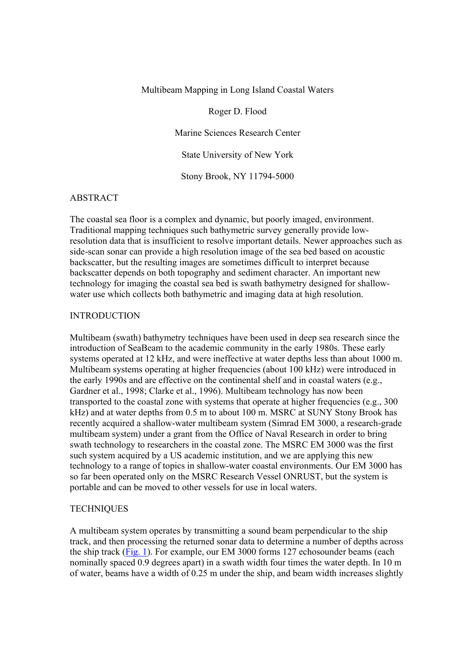### Multibeam Mapping in Long Island Coastal Waters

Roger D. Flood

Marine Sciences Research Center

State University of New York

Stony Brook, NY 11794-5000

# ABSTRACT

The coastal sea floor is a complex and dynamic, but poorly imaged, environment. Traditional mapping techniques such bathymetric survey generally provide lowresolution data that is insufficient to resolve important details. Newer approaches such as side-scan sonar can provide a high resolution image of the sea bed based on acoustic backscatter, but the resulting images are sometimes difficult to interpret because backscatter depends on both topography and sediment character. An important new technology for imaging the coastal sea bed is swath bathymetry designed for shallowwater use which collects both bathymetric and imaging data at high resolution.

#### INTRODUCTION

Multibeam (swath) bathymetry techniques have been used in deep sea research since the introduction of SeaBeam to the academic community in the early 1980s. These early systems operated at 12 kHz, and were ineffective at water depths less than about 1000 m. Multibeam systems operating at higher frequencies (about 100 kHz) were introduced in the early 1990s and are effective on the continental shelf and in coastal waters (e.g., Gardner et al., 1998; Clarke et al., 1996). Multibeam technology has now been transported to the coastal zone with systems that operate at higher frequencies (e.g., 300 kHz) and at water depths from 0.5 m to about 100 m. MSRC at SUNY Stony Brook has recently acquired a shallow-water multibeam system (Simrad EM 3000, a research-grade multibeam system) under a grant from the Office of Naval Research in order to bring swath technology to researchers in the coastal zone. The MSRC EM 3000 was the first such system acquired by a US academic institution, and we are applying this new technology to a range of topics in shallow-water coastal environments. Our EM 3000 has so far been operated only on the MSRC Research Vessel ONRUST, but the system is portable and can be moved to other vessels for use in local waters.

#### **TECHNIQUES**

A multibeam system operates by transmitting a sound beam perpendicular to the ship track, and then processing the returned sonar data to determine a number of depths across the ship track (Fig. 1). For example, our EM 3000 forms 127 echosounder beams (each nominally spaced 0.9 degrees apart) in a swath width four times the water depth. In 10 m of water, beams have a width of 0.25 m under the ship, and beam width increases slightly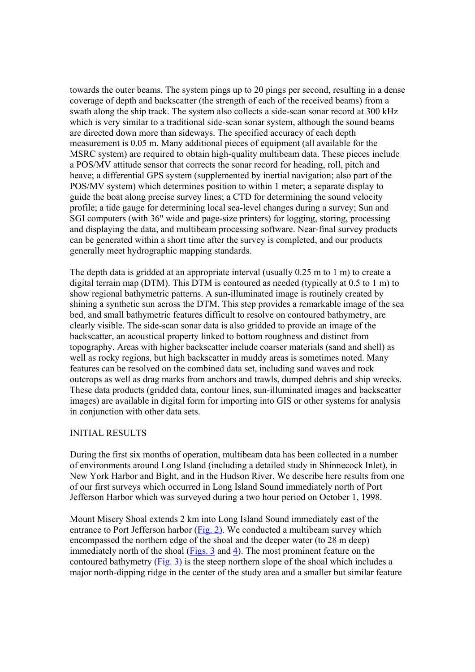towards the outer beams. The system pings up to 20 pings per second, resulting in a dense coverage of depth and backscatter (the strength of each of the received beams) from a swath along the ship track. The system also collects a side-scan sonar record at 300 kHz which is very similar to a traditional side-scan sonar system, although the sound beams are directed down more than sideways. The specified accuracy of each depth measurement is 0.05 m. Many additional pieces of equipment (all available for the MSRC system) are required to obtain high-quality multibeam data. These pieces include a POS/MV attitude sensor that corrects the sonar record for heading, roll, pitch and heave; a differential GPS system (supplemented by inertial navigation; also part of the POS/MV system) which determines position to within 1 meter; a separate display to guide the boat along precise survey lines; a CTD for determining the sound velocity profile; a tide gauge for determining local sea-level changes during a survey; Sun and SGI computers (with 36" wide and page-size printers) for logging, storing, processing and displaying the data, and multibeam processing software. Near-final survey products can be generated within a short time after the survey is completed, and our products generally meet hydrographic mapping standards.

The depth data is gridded at an appropriate interval (usually 0.25 m to 1 m) to create a digital terrain map (DTM). This DTM is contoured as needed (typically at 0.5 to 1 m) to show regional bathymetric patterns. A sun-illuminated image is routinely created by shining a synthetic sun across the DTM. This step provides a remarkable image of the sea bed, and small bathymetric features difficult to resolve on contoured bathymetry, are clearly visible. The side-scan sonar data is also gridded to provide an image of the backscatter, an acoustical property linked to bottom roughness and distinct from topography. Areas with higher backscatter include coarser materials (sand and shell) as well as rocky regions, but high backscatter in muddy areas is sometimes noted. Many features can be resolved on the combined data set, including sand waves and rock outcrops as well as drag marks from anchors and trawls, dumped debris and ship wrecks. These data products (gridded data, contour lines, sun-illuminated images and backscatter images) are available in digital form for importing into GIS or other systems for analysis in conjunction with other data sets.

## INITIAL RESULTS

During the first six months of operation, multibeam data has been collected in a number of environments around Long Island (including a detailed study in Shinnecock Inlet), in New York Harbor and Bight, and in the Hudson River. We describe here results from one of our first surveys which occurred in Long Island Sound immediately north of Port Jefferson Harbor which was surveyed during a two hour period on October 1, 1998.

Mount Misery Shoal extends 2 km into Long Island Sound immediately east of the entrance to Port Jefferson harbor (Fig. 2). We conducted a multibeam survey which encompassed the northern edge of the shoal and the deeper water (to 28 m deep) immediately north of the shoal (Figs. 3 and 4). The most prominent feature on the contoured bathymetry  $(Fig. 3)$  is the steep northern slope of the shoal which includes a major north-dipping ridge in the center of the study area and a smaller but similar feature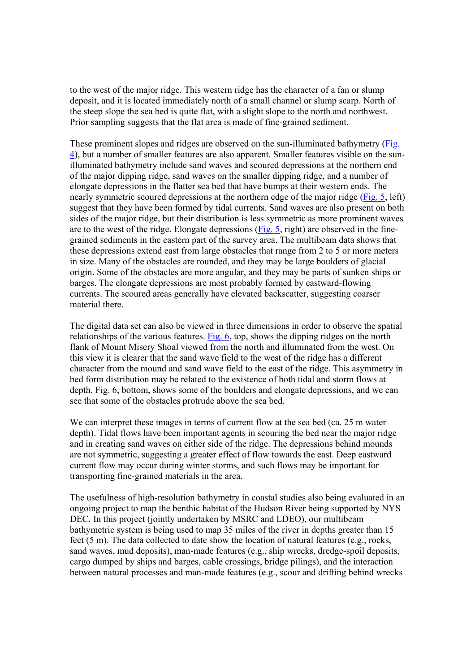to the west of the major ridge. This western ridge has the character of a fan or slump deposit, and it is located immediately north of a small channel or slump scarp. North of the steep slope the sea bed is quite flat, with a slight slope to the north and northwest. Prior sampling suggests that the flat area is made of fine-grained sediment.

These prominent slopes and ridges are observed on the sun-illuminated bathymetry (Fig. 4), but a number of smaller features are also apparent. Smaller features visible on the sunilluminated bathymetry include sand waves and scoured depressions at the northern end of the major dipping ridge, sand waves on the smaller dipping ridge, and a number of elongate depressions in the flatter sea bed that have bumps at their western ends. The nearly symmetric scoured depressions at the northern edge of the major ridge (Fig. 5, left) suggest that they have been formed by tidal currents. Sand waves are also present on both sides of the major ridge, but their distribution is less symmetric as more prominent waves are to the west of the ridge. Elongate depressions (Fig. 5, right) are observed in the finegrained sediments in the eastern part of the survey area. The multibeam data shows that these depressions extend east from large obstacles that range from 2 to 5 or more meters in size. Many of the obstacles are rounded, and they may be large boulders of glacial origin. Some of the obstacles are more angular, and they may be parts of sunken ships or barges. The elongate depressions are most probably formed by eastward-flowing currents. The scoured areas generally have elevated backscatter, suggesting coarser material there.

The digital data set can also be viewed in three dimensions in order to observe the spatial relationships of the various features. Fig. 6, top, shows the dipping ridges on the north flank of Mount Misery Shoal viewed from the north and illuminated from the west. On this view it is clearer that the sand wave field to the west of the ridge has a different character from the mound and sand wave field to the east of the ridge. This asymmetry in bed form distribution may be related to the existence of both tidal and storm flows at depth. Fig. 6, bottom, shows some of the boulders and elongate depressions, and we can see that some of the obstacles protrude above the sea bed.

We can interpret these images in terms of current flow at the sea bed (ca. 25 m water depth). Tidal flows have been important agents in scouring the bed near the major ridge and in creating sand waves on either side of the ridge. The depressions behind mounds are not symmetric, suggesting a greater effect of flow towards the east. Deep eastward current flow may occur during winter storms, and such flows may be important for transporting fine-grained materials in the area.

The usefulness of high-resolution bathymetry in coastal studies also being evaluated in an ongoing project to map the benthic habitat of the Hudson River being supported by NYS DEC. In this project (jointly undertaken by MSRC and LDEO), our multibeam bathymetric system is being used to map 35 miles of the river in depths greater than 15 feet (5 m). The data collected to date show the location of natural features (e.g., rocks, sand waves, mud deposits), man-made features (e.g., ship wrecks, dredge-spoil deposits, cargo dumped by ships and barges, cable crossings, bridge pilings), and the interaction between natural processes and man-made features (e.g., scour and drifting behind wrecks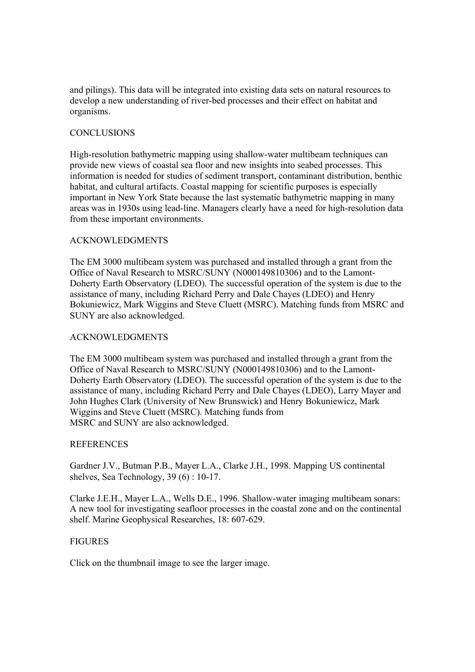and pilings). This data will be integrated into existing data sets on natural resources to develop a new understanding of river-bed processes and their effect on habitat and organisms.

# **CONCLUSIONS**

High-resolution bathymetric mapping using shallow-water multibeam techniques can provide new views of coastal sea floor and new insights into seabed processes. This information is needed for studies of sediment transport, contaminant distribution, benthic habitat, and cultural artifacts. Coastal mapping for scientific purposes is especially important in New York State because the last systematic bathymetric mapping in many areas was in 1930s using lead-line. Managers clearly have a need for high-resolution data from these important environments.

## ACKNOWLEDGMENTS

The EM 3000 multibeam system was purchased and installed through a grant from the Office of Naval Research to MSRC/SUNY (N000149810306) and to the Lamont-Doherty Earth Observatory (LDEO). The successful operation of the system is due to the assistance of many, including Richard Perry and Dale Chayes (LDEO) and Henry Bokuniewicz, Mark Wiggins and Steve Cluett (MSRC). Matching funds from MSRC and SUNY are also acknowledged.

## ACKNOWLEDGMENTS

The EM 3000 multibeam system was purchased and installed through a grant from the Office of Naval Research to MSRC/SUNY (N000149810306) and to the Lamont-Doherty Earth Observatory (LDEO). The successful operation of the system is due to the assistance of many, including Richard Perry and Dale Chayes (LDEO), Larry Mayer and John Hughes Clark (University of New Brunswick) and Henry Bokuniewicz, Mark Wiggins and Steve Cluett (MSRC). Matching funds from MSRC and SUNY are also acknowledged.

### **REFERENCES**

Gardner J.V., Butman P.B., Mayer L.A., Clarke J.H., 1998. Mapping US continental shelves, Sea Technology, 39 (6) : 10-17.

Clarke J.E.H., Mayer L.A., Wells D.E., 1996. Shallow-water imaging multibeam sonars: A new tool for investigating seafloor processes in the coastal zone and on the continental shelf. Marine Geophysical Researches, 18: 607-629.

## **FIGURES**

Click on the thumbnail image to see the larger image.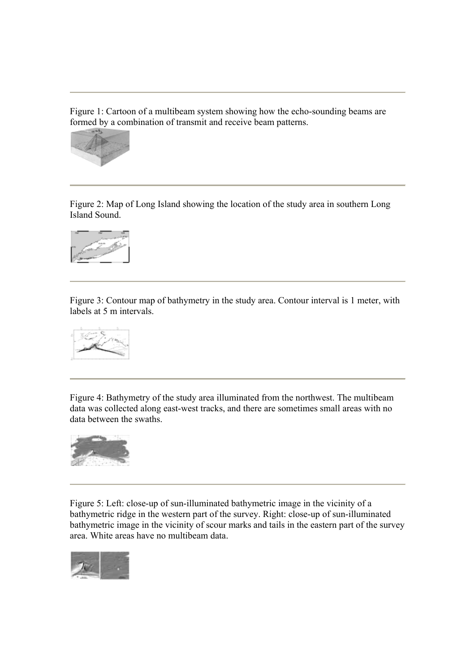Figure 1: Cartoon of a multibeam system showing how the echo-sounding beams are formed by a combination of transmit and receive beam patterns.



Figure 2: Map of Long Island showing the location of the study area in southern Long Island Sound.



Figure 3: Contour map of bathymetry in the study area. Contour interval is 1 meter, with labels at 5 m intervals.



Figure 4: Bathymetry of the study area illuminated from the northwest. The multibeam data was collected along east-west tracks, and there are sometimes small areas with no data between the swaths.



Figure 5: Left: close-up of sun-illuminated bathymetric image in the vicinity of a bathymetric ridge in the western part of the survey. Right: close-up of sun-illuminated bathymetric image in the vicinity of scour marks and tails in the eastern part of the survey area. White areas have no multibeam data.